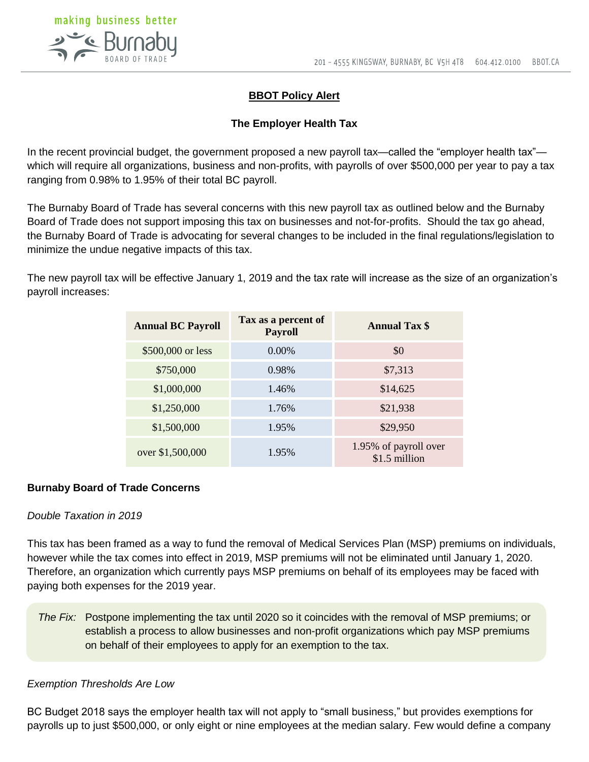

## **BBOT Policy Alert**

### **The Employer Health Tax**

In the recent provincial budget, the government proposed a new payroll tax—called the "employer health tax" which will require all organizations, business and non-profits, with payrolls of over \$500,000 per year to pay a tax ranging from 0.98% to 1.95% of their total BC payroll.

The Burnaby Board of Trade has several concerns with this new payroll tax as outlined below and the Burnaby Board of Trade does not support imposing this tax on businesses and not-for-profits. Should the tax go ahead, the Burnaby Board of Trade is advocating for several changes to be included in the final regulations/legislation to minimize the undue negative impacts of this tax.

The new payroll tax will be effective January 1, 2019 and the tax rate will increase as the size of an organization's payroll increases:

| <b>Annual BC Payroll</b> | Tax as a percent of<br><b>Payroll</b> | <b>Annual Tax \$</b>                   |
|--------------------------|---------------------------------------|----------------------------------------|
| \$500,000 or less        | $0.00\%$                              | \$0                                    |
| \$750,000                | 0.98%                                 | \$7,313                                |
| \$1,000,000              | 1.46%                                 | \$14,625                               |
| \$1,250,000              | 1.76%                                 | \$21,938                               |
| \$1,500,000              | 1.95%                                 | \$29,950                               |
| over \$1,500,000         | 1.95%                                 | 1.95% of payroll over<br>\$1.5 million |

#### **Burnaby Board of Trade Concerns**

### *Double Taxation in 2019*

This tax has been framed as a way to fund the removal of Medical Services Plan (MSP) premiums on individuals, however while the tax comes into effect in 2019, MSP premiums will not be eliminated until January 1, 2020. Therefore, an organization which currently pays MSP premiums on behalf of its employees may be faced with paying both expenses for the 2019 year.

*The Fix:* Postpone implementing the tax until 2020 so it coincides with the removal of MSP premiums; or establish a process to allow businesses and non-profit organizations which pay MSP premiums on behalf of their employees to apply for an exemption to the tax.

#### *Exemption Thresholds Are Low*

BC Budget 2018 says the employer health tax will not apply to "small business," but provides exemptions for payrolls up to just \$500,000, or only eight or nine employees at the median salary. Few would define a company